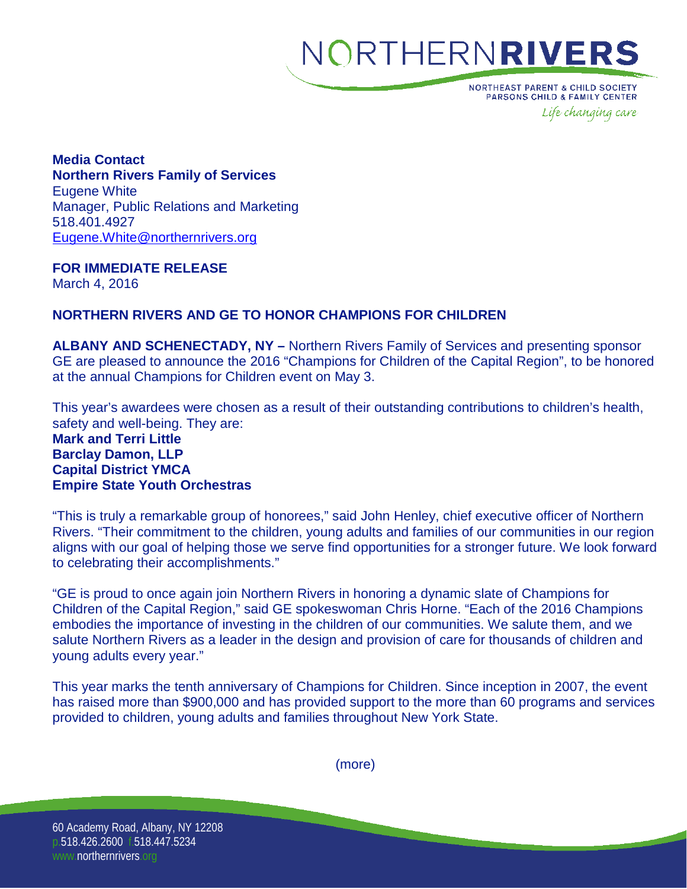## NORTHERNRIVERS

**NORTHEAST PARENT & CHILD SOCIETY** PARSONS CHILD & FAMILY CENTER Life changing care

**Media Contact Northern Rivers Family of Services** Eugene White Manager, Public Relations and Marketing 518.401.4927 [Eugene.White@northernrivers.org](mailto:Eugene.White@northernrivers.org)

**FOR IMMEDIATE RELEASE** March 4, 2016

### **NORTHERN RIVERS AND GE TO HONOR CHAMPIONS FOR CHILDREN**

**ALBANY AND SCHENECTADY, NY –** Northern Rivers Family of Services and presenting sponsor GE are pleased to announce the 2016 "Champions for Children of the Capital Region", to be honored at the annual Champions for Children event on May 3.

This year's awardees were chosen as a result of their outstanding contributions to children's health, safety and well-being. They are:

#### **Mark and Terri Little Barclay Damon, LLP Capital District YMCA Empire State Youth Orchestras**

"This is truly a remarkable group of honorees," said John Henley, chief executive officer of Northern Rivers. "Their commitment to the children, young adults and families of our communities in our region aligns with our goal of helping those we serve find opportunities for a stronger future. We look forward to celebrating their accomplishments."

"GE is proud to once again join Northern Rivers in honoring a dynamic slate of Champions for Children of the Capital Region," said GE spokeswoman Chris Horne. "Each of the 2016 Champions embodies the importance of investing in the children of our communities. We salute them, and we salute Northern Rivers as a leader in the design and provision of care for thousands of children and young adults every year."

This year marks the tenth anniversary of Champions for Children. Since inception in 2007, the event has raised more than \$900,000 and has provided support to the more than 60 programs and services provided to children, young adults and families throughout New York State.

(more)

60 Academy Road, Albany, NY 12208 p.518.426.2600 f.518.447.5234 www.northernrivers.org